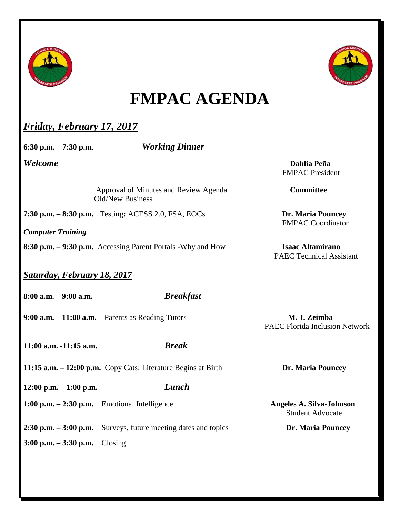



## **FMPAC AGENDA**

## *Friday, February 17, 2017*

**6:30 p.m. – 7:30 p.m.** *Working Dinner*

*Welcome* **Dahlia Peña** FMPAC President

> Approval of Minutes and Review Agenda **Committee** Old/New Business

**7:30 p.m. – 8:30 p.m.** Testing**:** ACESS 2.0, FSA, EOCs **Dr. Maria Pouncey**

*Computer Training*

**8:30 p.m. – 9:30 p.m.** Accessing Parent Portals -Why and How **Isaac Altamirano**

*Saturday, February 18, 2017*

**8:00 a.m. – 9:00 a.m.** *Breakfast*

**9:00 a.m. – 11:00 a.m.** Parents as Reading Tutors **M. J. Zeimba**

**11:00 a.m. -11:15 a.m.** *Break*

**11:15 a.m.**  $-$  **12:00 p.m.** Copy Cats: Literature Begins at Birth **Dr. Maria Pouncey** 

**12:00 p.m. – 1:00 p.m.** *Lunch*

**1:00 p.m.** – 2:30 p.m. Emotional Intelligence **Angeles A. Silva-Johnson** 

**2:30 p.m. – 3:00 p.m**. Surveys, future meeting dates and topics **Dr. Maria Pouncey**

**3:00 p.m. – 3:30 p.m.** Closing

FMPAC Coordinator

PAEC Technical Assistant

PAEC Florida Inclusion Network

Student Advocate